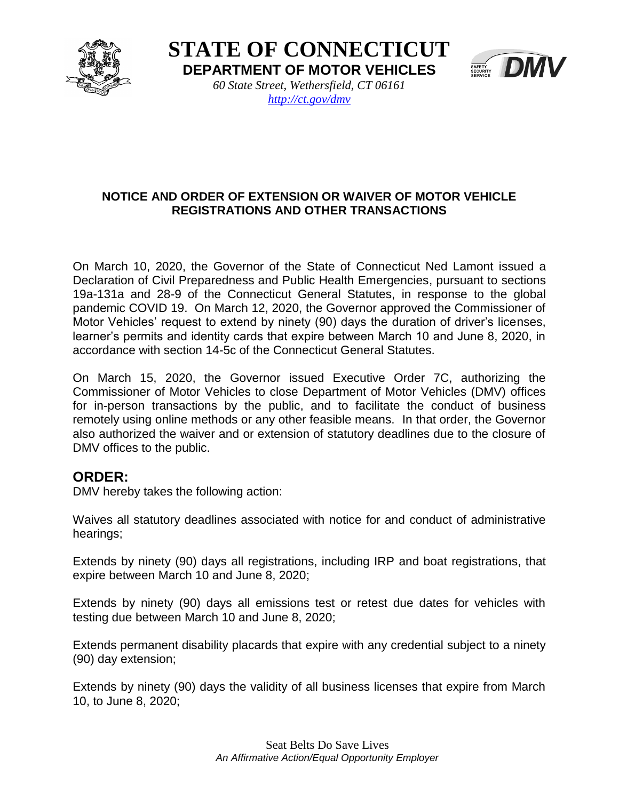

**STATE OF CONNECTICUT DEPARTMENT OF MOTOR VEHICLES** *60 State Street, Wethersfield, CT 06161*



## *<http://ct.gov/dmv>*

## **NOTICE AND ORDER OF EXTENSION OR WAIVER OF MOTOR VEHICLE REGISTRATIONS AND OTHER TRANSACTIONS**

On March 10, 2020, the Governor of the State of Connecticut Ned Lamont issued a Declaration of Civil Preparedness and Public Health Emergencies, pursuant to sections 19a-131a and 28-9 of the Connecticut General Statutes, in response to the global pandemic COVID 19. On March 12, 2020, the Governor approved the Commissioner of Motor Vehicles' request to extend by ninety (90) days the duration of driver's licenses, learner's permits and identity cards that expire between March 10 and June 8, 2020, in accordance with section 14-5c of the Connecticut General Statutes.

On March 15, 2020, the Governor issued Executive Order 7C, authorizing the Commissioner of Motor Vehicles to close Department of Motor Vehicles (DMV) offices for in-person transactions by the public, and to facilitate the conduct of business remotely using online methods or any other feasible means. In that order, the Governor also authorized the waiver and or extension of statutory deadlines due to the closure of DMV offices to the public.

## **ORDER:**

DMV hereby takes the following action:

Waives all statutory deadlines associated with notice for and conduct of administrative hearings;

Extends by ninety (90) days all registrations, including IRP and boat registrations, that expire between March 10 and June 8, 2020;

Extends by ninety (90) days all emissions test or retest due dates for vehicles with testing due between March 10 and June 8, 2020;

Extends permanent disability placards that expire with any credential subject to a ninety (90) day extension;

Extends by ninety (90) days the validity of all business licenses that expire from March 10, to June 8, 2020;